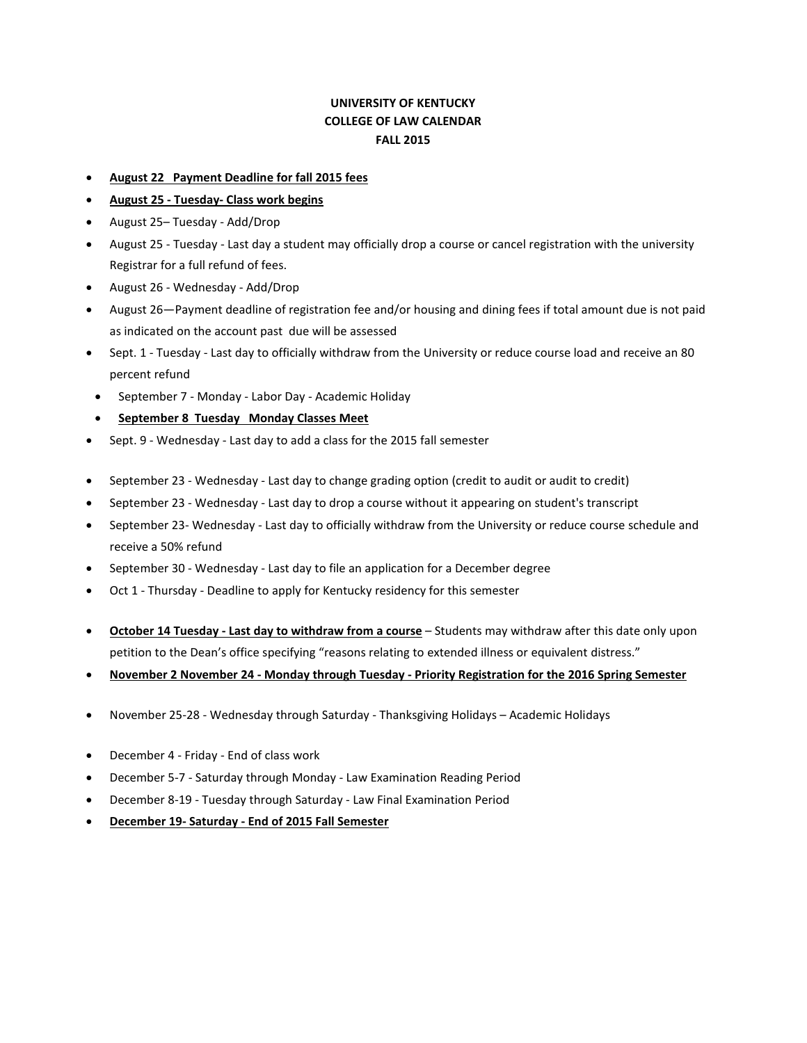## **UNIVERSITY OF KENTUCKY COLLEGE OF LAW CALENDAR FALL 2015**

- **August 22 Payment Deadline for fall 2015 fees**
- **August 25 - Tuesday- Class work begins**
- August 25– Tuesday Add/Drop
- August 25 Tuesday Last day a student may officially drop a course or cancel registration with the university Registrar for a full refund of fees.
- August 26 Wednesday Add/Drop
- August 26—Payment deadline of registration fee and/or housing and dining fees if total amount due is not paid as indicated on the account past due will be assessed
- Sept. 1 Tuesday Last day to officially withdraw from the University or reduce course load and receive an 80 percent refund
- September 7 Monday Labor Day Academic Holiday
- **September 8 Tuesday Monday Classes Meet**
- Sept. 9 Wednesday Last day to add a class for the 2015 fall semester
- September 23 Wednesday Last day to change grading option (credit to audit or audit to credit)
- September 23 Wednesday Last day to drop a course without it appearing on student's transcript
- September 23- Wednesday Last day to officially withdraw from the University or reduce course schedule and receive a 50% refund
- September 30 Wednesday Last day to file an application for a December degree
- Oct 1 Thursday Deadline to apply for Kentucky residency for this semester
- **October 14 Tuesday - Last day to withdraw from a course** Students may withdraw after this date only upon petition to the Dean's office specifying "reasons relating to extended illness or equivalent distress."
- **November 2 November 24 - Monday through Tuesday - Priority Registration for the 2016 Spring Semester**
- November 25-28 Wednesday through Saturday Thanksgiving Holidays Academic Holidays
- December 4 Friday End of class work
- December 5-7 Saturday through Monday Law Examination Reading Period
- December 8-19 Tuesday through Saturday Law Final Examination Period
- **December 19- Saturday - End of 2015 Fall Semester**